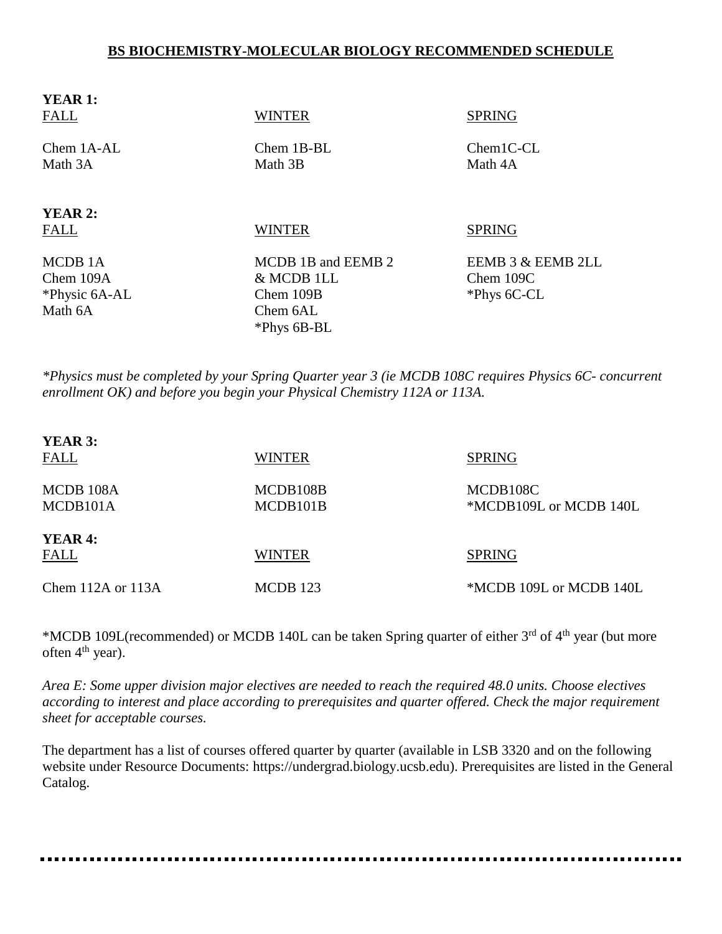## **BS BIOCHEMISTRY-MOLECULAR BIOLOGY RECOMMENDED SCHEDULE**

| <b>YEAR 1:</b><br><b>FALL</b> | <b>WINTER</b>         | <b>SPRING</b>          |
|-------------------------------|-----------------------|------------------------|
| Chem 1A-AL<br>Math 3A         | Chem 1B-BL<br>Math 3B | $Chem1C-CL$<br>Math 4A |
| <b>YEAR 2:</b>                |                       |                        |
| <b>FALL</b>                   | <b>WINTER</b>         | <b>SPRING</b>          |
| MCDB 1A                       | MCDB 1B and EEMB 2    | EEMB 3 & EEMB 2LL      |
| Chem 109A                     | & MCDB 1LL            | Chem 109C              |
| *Physic 6A-AL                 | Chem 109B             | *Phys 6C-CL            |
| Math 6A                       | Chem 6AL              |                        |
|                               | *Phys 6B-BL           |                        |

*\*Physics must be completed by your Spring Quarter year 3 (ie MCDB 108C requires Physics 6C- concurrent enrollment OK) and before you begin your Physical Chemistry 112A or 113A.*

| <b>YEAR 3:</b><br><b>FALL</b> | <b>WINTER</b>        | <b>SPRING</b>                      |
|-------------------------------|----------------------|------------------------------------|
| MCDB 108A<br>MCDB101A         | MCDB108B<br>MCDB101B | MCDB108C<br>*MCDB109L or MCDB 140L |
| <b>YEAR 4:</b><br>FALL        | <b>WINTER</b>        | <b>SPRING</b>                      |
| Chem $112A$ or $113A$         | MCDB 123             | *MCDB 109L or MCDB 140L            |

\*MCDB 109L(recommended) or MCDB 140L can be taken Spring quarter of either 3<sup>rd</sup> of 4<sup>th</sup> year (but more often  $4<sup>th</sup>$  year).

*Area E: Some upper division major electives are needed to reach the required 48.0 units. Choose electives according to interest and place according to prerequisites and quarter offered. Check the major requirement sheet for acceptable courses.*

The department has a list of courses offered quarter by quarter (available in LSB 3320 and on the following website under Resource Documents: https://undergrad.biology.ucsb.edu). Prerequisites are listed in the General Catalog.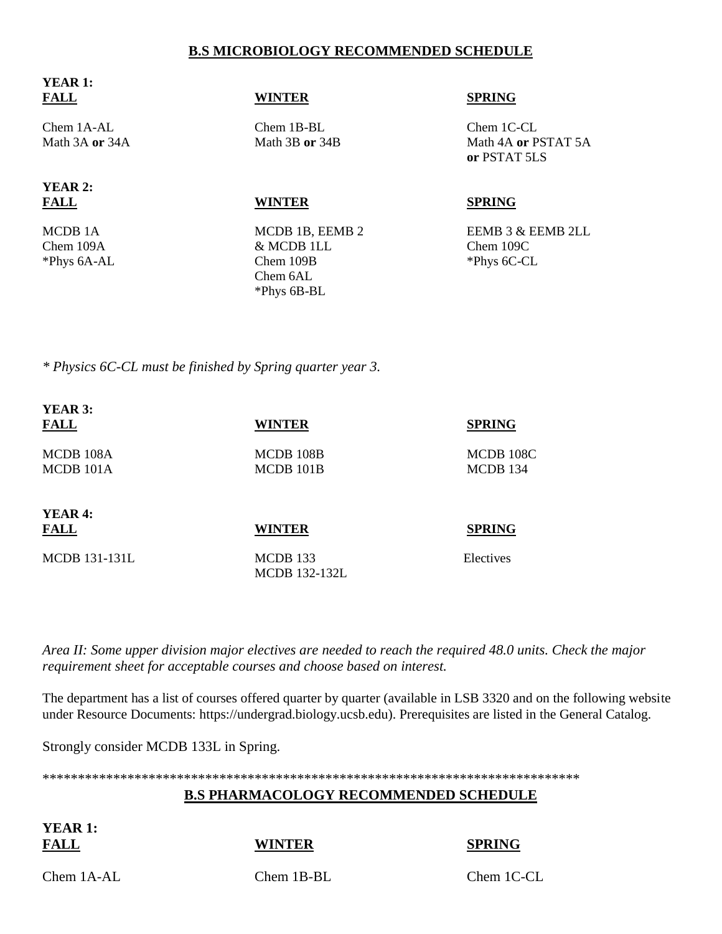## **B.S MICROBIOLOGY RECOMMENDED SCHEDULE**

| <b>FALL</b>         | <b>WINTER</b>   | <b>SPRING</b>                       |
|---------------------|-----------------|-------------------------------------|
| Chem 1A-AL          | Chem 1B-BL      | Chem 1C-CL                          |
| Math 3A or 34A      | Math 3B or 34B  | Math 4A or PSTAT 5A<br>or PSTAT 5LS |
| <b>YEAR 2:</b>      |                 |                                     |
| <b>FALL</b>         | <b>WINTER</b>   | <b>SPRING</b>                       |
| MCDB <sub>1</sub> A | MCDB 1B, EEMB 2 | EEMB 3 & EEMB 2LL                   |
| Chem 109A           | & MCDB 1LL      | Chem 109C                           |
| *Phys 6A-AL         | Chem 109B       | *Phys 6C-CL                         |

 Chem 6AL \*Phys 6B-BL

*\* Physics 6C-CL must be finished by Spring quarter year 3.*

| YEAR 3:              |               |               |  |
|----------------------|---------------|---------------|--|
| <b>FALL</b>          | <b>WINTER</b> | <b>SPRING</b> |  |
| MCDB 108A            | MCDB 108B     | MCDB 108C     |  |
| MCDB 101A            | MCDB 101B     | MCDB 134      |  |
| YEAR <sub>4</sub> :  |               |               |  |
| <b>FALL</b>          | <b>WINTER</b> | <b>SPRING</b> |  |
| <b>MCDB</b> 131-131L | MCDB 133      | Electives     |  |

MCDB 132-132L

*Area II: Some upper division major electives are needed to reach the required 48.0 units. Check the major requirement sheet for acceptable courses and choose based on interest.* 

The department has a list of courses offered quarter by quarter (available in LSB 3320 and on the following website under Resource Documents: https://undergrad.biology.ucsb.edu). Prerequisites are listed in the General Catalog.

Strongly consider MCDB 133L in Spring.

\*\*\*\*\*\*\*\*\*\*\*\*\*\*\*\*\*\*\*\*\*\*\*\*\*\*\*\*\*\*\*\*\*\*\*\*\*\*\*\*\*\*\*\*\*\*\*\*\*\*\*\*\*\*\*\*\*\*\*\*\*\*\*\*\*\*\*\*\*\*\*\*\*\*\*\*

## **B.S PHARMACOLOGY RECOMMENDED SCHEDULE**

**YEAR 1:**

**YEAR 1:**

**FALL WINTER SPRING**

Chem 1A-AL Chem 1B-BL Chem 1C-CL